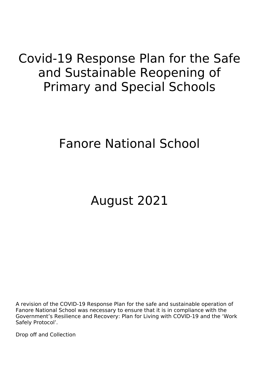# Covid-19 Response Plan for the Safe and Sustainable Reopening of Primary and Special Schools

# Fanore National School

# August 2021

A revision of the COVID-19 Response Plan for the safe and sustainable operation of Fanore National School was necessary to ensure that it is in compliance with the Government's Resilience and Recovery: Plan for Living with COVID-19 and the 'Work Safely Protocol'.

Drop off and Collection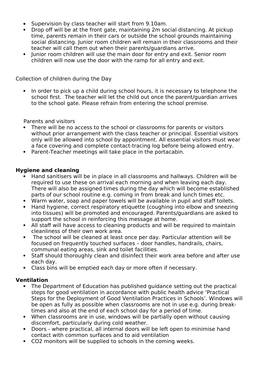- Supervision by class teacher will start from 9.10am.
- Drop off will be at the front gate, maintaining 2m social distancing. At pickup time, parents remain in their cars or outside the school grounds maintaining social distancing. Junior room children will remain in their classrooms and their teacher will call them out when their parents/guardians arrive.
- Junior room children will use the main door for entry and exit. Senior room children will now use the door with the ramp for all entry and exit.

Collection of children during the Day

• In order to pick up a child during school hours, it is necessary to telephone the school first. The teacher will let the child out once the parent/guardian arrives to the school gate. Please refrain from entering the school premise.

Parents and visitors

- There will be no access to the school or classrooms for parents or visitors without prior arrangement with the class teacher or principal. Essential visitors only will be allowed into school by appointment. All essential visitors must wear a face covering and complete contact-tracing log before being allowed entry.
- Parent-Teacher meetings will take place in the portacabin.

#### **Hygiene and cleaning**

- Hand sanitisers will be in place in all classrooms and hallways. Children will be required to use these on arrival each morning and when leaving each day. There will also be assigned times during the day which will become established parts of our school routine e.g. coming in from break and lunch times etc.
- Warm water, soap and paper towels will be available in pupil and staff toilets.
- Hand hygiene, correct respiratory etiquette (coughing into elbow and sneezing into tissues) will be promoted and encouraged. Parents/guardians are asked to support the school in reinforcing this message at home.
- All staff will have access to cleaning products and will be required to maintain cleanliness of their own work area.
- The school will be cleaned at least once per day. Particular attention will be focused on frequently touched surfaces – door handles, handrails, chairs, communal eating areas, sink and toilet facilities.
- Staff should thoroughly clean and disinfect their work area before and after use each day.
- Class bins will be emptied each day or more often if necessary.

#### **Ventilation**

- The Department of Education has published guidance setting out the practical steps for good ventilation in accordance with public health advice 'Practical Steps for the Deployment of Good Ventilation Practices in Schools'. Windows will be open as fully as possible when classrooms are not in use e.g. during breaktimes and also at the end of each school day for a period of time.
- When classrooms are in use, windows will be partially open without causing discomfort, particularly during cold weather.
- Doors where practical, all internal doors will be left open to minimise hand contact with common surfaces and to aid ventilation
- CO2 monitors will be supplied to schools in the coming weeks.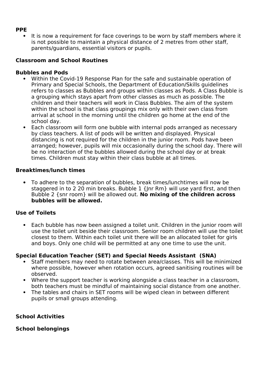#### **PPE**

 It is now a requirement for face coverings to be worn by staff members where it is not possible to maintain a physical distance of 2 metres from other staff, parents/guardians, essential visitors or pupils.

### **Classroom and School Routines**

#### **Bubbles and Pods**

- Within the Covid-19 Response Plan for the safe and sustainable operation of Primary and Special Schools, the Department of Education/Skills guidelines refers to classes as Bubbles and groups within classes as Pods. A Class Bubble is a grouping which stays apart from other classes as much as possible. The children and their teachers will work in Class Bubbles. The aim of the system within the school is that class groupings mix only with their own class from arrival at school in the morning until the children go home at the end of the school day.
- Each classroom will form one bubble with internal pods arranged as necessary by class teachers. A list of pods will be written and displayed. Physical distancing is not required for the children in the junior room. Pods have been arranged; however, pupils will mix occasionally during the school day. There will be no interaction of the bubbles allowed during the school day or at break times. Children must stay within their class bubble at all times.

#### **Breaktimes/lunch times**

 To adhere to the separation of bubbles, break times/lunchtimes will now be staggered in to 2 20 min breaks. Bubble 1 {Jnr Rm} will use yard first, and then Bubble 2 {snr room} will be allowed out. **No mixing of the children across bubbles will be allowed.** 

#### **Use of Toilets**

 Each bubble has now been assigned a toilet unit. Children in the junior room will use the toilet unit beside their classroom. Senior room children will use the toilet closest to them. Within each toilet unit there will be an allocated toilet for girls and boys. Only one child will be permitted at any one time to use the unit.

#### **Special Education Teacher (SET) and Special Needs Assistant (SNA)**

- Staff members may need to rotate between area/classes. This will be minimized where possible, however when rotation occurs, agreed sanitising routines will be observed.
- Where the support teacher is working alongside a class teacher in a classroom, both teachers must be mindful of maintaining social distance from one another.
- The tables and chairs in SET rooms will be wiped clean in between different pupils or small groups attending.

#### **School Activities**

#### **School belongings**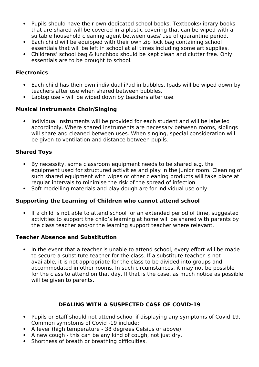- Pupils should have their own dedicated school books. Textbooks/library books that are shared will be covered in a plastic covering that can be wiped with a suitable household cleaning agent between uses/ use of quarantine period.
- Each child will be equipped with their own zip lock bag containing school essentials that will be left in school at all times including some art supplies.
- Childrens' school bag & lunchbox should be kept clean and clutter free. Only essentials are to be brought to school.

#### **Electronics**

- Each child has their own individual iPad in bubbles. Ipads will be wiped down by teachers after use when shared between bubbles.
- Laptop use will be wiped down by teachers after use.

#### **Musical Instruments Choir/Singing**

 Individual instruments will be provided for each student and will be labelled accordingly. Where shared instruments are necessary between rooms, siblings will share and cleaned between uses. When singing, special consideration will be given to ventilation and distance between pupils.

#### **Shared Toys**

- By necessity, some classroom equipment needs to be shared e.g. the equipment used for structured activities and play in the junior room. Cleaning of such shared equipment with wipes or other cleaning products will take place at regular intervals to minimise the risk of the spread of infection
- Soft modelling materials and play dough are for individual use only.

#### **Supporting the Learning of Children who cannot attend school**

 If a child is not able to attend school for an extended period of time, suggested activities to support the child's learning at home will be shared with parents by the class teacher and/or the learning support teacher where relevant.

#### **Teacher Absence and Substitution**

 In the event that a teacher is unable to attend school, every effort will be made to secure a substitute teacher for the class. If a substitute teacher is not available, it is not appropriate for the class to be divided into groups and accommodated in other rooms. In such circumstances, it may not be possible for the class to attend on that day. If that is the case, as much notice as possible will be given to parents.

#### **DEALING WITH A SUSPECTED CASE OF COVID-19**

- Pupils or Staff should not attend school if displaying any symptoms of Covid-19. Common symptoms of Covid -19 include:
- A fever (high temperature 38 degrees Celsius or above).
- A new cough this can be any kind of cough, not just dry.
- Shortness of breath or breathing difficulties.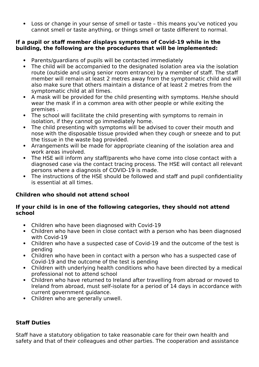Loss or change in your sense of smell or taste – this means you've noticed you cannot smell or taste anything, or things smell or taste different to normal.

#### **If a pupil or staff member displays symptoms of Covid-19 while in the building, the following are the procedures that will be implemented:**

- Parents/guardians of pupils will be contacted immediately
- The child will be accompanied to the designated isolation area via the isolation route (outside and using senior room entrance) by a member of staff. The staff member will remain at least 2 metres away from the symptomatic child and will also make sure that others maintain a distance of at least 2 metres from the symptomatic child at all times.
- A mask will be provided for the child presenting with symptoms. He/she should wear the mask if in a common area with other people or while exiting the premises .
- The school will facilitate the child presenting with symptoms to remain in isolation, if they cannot go immediately home.
- The child presenting with symptoms will be advised to cover their mouth and nose with the disposable tissue provided when they cough or sneeze and to put the tissue in the waste bag provided.
- Arrangements will be made for appropriate cleaning of the isolation area and work areas involved.
- The HSE will inform any staff/parents who have come into close contact with a diagnosed case via the contact tracing process. The HSE will contact all relevant persons where a diagnosis of COVID-19 is made.
- The instructions of the HSE should be followed and staff and pupil confidentiality is essential at all times.

# **Children who should not attend school**

#### **If your child is in one of the following categories, they should not attend school**

- Children who have been diagnosed with Covid-19
- Children who have been in close contact with a person who has been diagnosed with Covid-19
- Children who have a suspected case of Covid-19 and the outcome of the test is pending
- Children who have been in contact with a person who has a suspected case of Covid-19 and the outcome of the test is pending
- Children with underlying health conditions who have been directed by a medical professional not to attend school
- Children who have returned to Ireland after travelling from abroad or moved to Ireland from abroad, must self-isolate for a period of 14 days in accordance with current government guidance.
- Children who are generally unwell.

# **Staff Duties**

Staff have a statutory obligation to take reasonable care for their own health and safety and that of their colleagues and other parties. The cooperation and assistance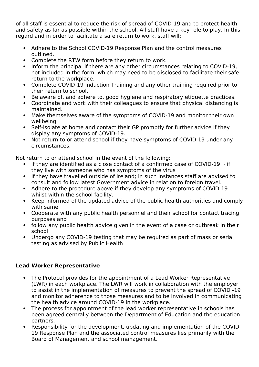of all staff is essential to reduce the risk of spread of COVID-19 and to protect health and safety as far as possible within the school. All staff have a key role to play. In this regard and in order to facilitate a safe return to work, staff will:

- Adhere to the School COVID-19 Response Plan and the control measures outlined.
- Complete the RTW form before they return to work.
- Inform the principal if there are any other circumstances relating to COVID-19, not included in the form, which may need to be disclosed to facilitate their safe return to the workplace.
- Complete COVID-19 Induction Training and any other training required prior to their return to school.
- Be aware of, and adhere to, good hygiene and respiratory etiquette practices.
- Coordinate and work with their colleagues to ensure that physical distancing is maintained.
- Make themselves aware of the symptoms of COVID-19 and monitor their own wellbeing.
- Self-isolate at home and contact their GP promptly for further advice if they display any symptoms of COVID-19.
- Not return to or attend school if they have symptoms of COVID-19 under any circumstances.

Not return to or attend school in the event of the following:

- $\bullet$  if they are identified as a close contact of a confirmed case of COVID-19  $\neg$  if they live with someone who has symptoms of the virus
- If they have travelled outside of Ireland; in such instances staff are advised to consult and follow latest Government advice in relation to foreign travel.
- Adhere to the procedure above if they develop any symptoms of COVID-19 whilst within the school facility.
- Keep informed of the updated advice of the public health authorities and comply with same.
- Cooperate with any public health personnel and their school for contact tracing purposes and
- follow any public health advice given in the event of a case or outbreak in their school
- Undergo any COVID-19 testing that may be required as part of mass or serial testing as advised by Public Health

#### **Lead Worker Representative**

- The Protocol provides for the appointment of a Lead Worker Representative (LWR) in each workplace. The LWR will work in collaboration with the employer to assist in the implementation of measures to prevent the spread of COVID -19 and monitor adherence to those measures and to be involved in communicating the health advice around COVID-19 in the workplace.
- The process for appointment of the lead worker representative in schools has been agreed centrally between the Department of Education and the education partners.
- Responsibility for the development, updating and implementation of the COVID-19 Response Plan and the associated control measures lies primarily with the Board of Management and school management.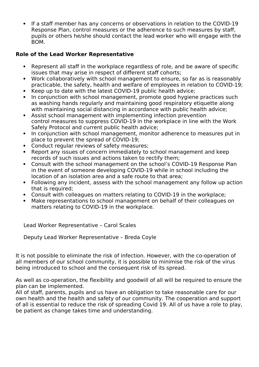If a staff member has any concerns or observations in relation to the COVID-19 Response Plan, control measures or the adherence to such measures by staff, pupils or others he/she should contact the lead worker who will engage with the BOM.

### **Role of the Lead Worker Representative**

- Represent all staff in the workplace regardless of role, and be aware of specific issues that may arise in respect of different staff cohorts;
- Work collaboratively with school management to ensure, so far as is reasonably practicable, the safety, health and welfare of employees in relation to COVID-19;
- Keep up to date with the latest COVID-19 public health advice;
- In conjunction with school management, promote good hygiene practices such as washing hands regularly and maintaining good respiratory etiquette along with maintaining social distancing in accordance with public health advice;
- Assist school management with implementing infection prevention control measures to suppress COVID-19 in the workplace in line with the Work Safely Protocol and current public health advice;
- In conjunction with school management, monitor adherence to measures put in place to prevent the spread of COVID-19;
- Conduct regular reviews of safety measures;
- Report any issues of concern immediately to school management and keep records of such issues and actions taken to rectify them;
- Consult with the school management on the school's COVID-19 Response Plan in the event of someone developing COVID-19 while in school including the location of an isolation area and a safe route to that area;
- Following any incident, assess with the school management any follow up action that is required;
- Consult with colleagues on matters relating to COVID-19 in the workplace;
- Make representations to school management on behalf of their colleagues on matters relating to COVID-19 in the workplace.

Lead Worker Representative – Carol Scales

Deputy Lead Worker Representative – Breda Coyle

It is not possible to eliminate the risk of infection. However, with the co-operation of all members of our school community, it is possible to minimise the risk of the virus being introduced to school and the consequent risk of its spread.

As well as co-operation, the flexibility and goodwill of all will be required to ensure the plan can be implemented.

All of staff, parents, pupils and us have an obligation to take reasonable care for our own health and the health and safety of our community. The cooperation and support of all is essential to reduce the risk of spreading Covid 19. All of us have a role to play, be patient as change takes time and understanding.